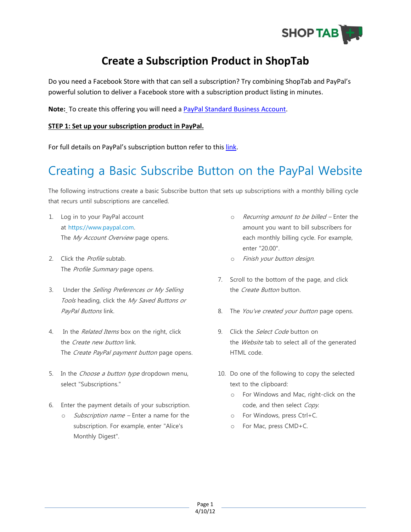

## **Create a Subscription Product in ShopTab**

Do you need a Facebook Store with that can sell a subscription? Try combining ShopTab and PayPal's powerful solution to deliver a Facebook store with a subscription product listing in minutes.

**Note:** To create this offering you will need a [PayPal Standard Business Account.](https://www.paypal.com/webapps/mpp/merchant)

## **STEP 1: Set up your subscription product in PayPal.**

For full details on PayPal's subscription button refer to this [link.](https://www.paypal.com/cgi-bin/webscr?cmd=_subscr-intro-outside)

## Creating a Basic Subscribe Button on the PayPal Website

The following instructions create a basic Subscribe button that sets up subscriptions with a monthly billing cycle that recurs until subscriptions are cancelled.

- 1. Log in to your PayPal account at [https://www.paypal.com.](https://www.paypal.com/) The My Account Overview page opens.
- 2. Click the *Profile* subtab. The Profile Summary page opens.
- 3. Under the Selling Preferences or My Selling Tools heading, click the My Saved Buttons or PayPal Buttons link.
- 4. In the *Related Items* box on the right, click the *Create new button* link. The Create PayPal payment button page opens.
- 5. In the *Choose a button type* dropdown menu, select "Subscriptions."
- 6. Enter the payment details of your subscription.
	- o *Subscription name* Enter a name for the subscription. For example, enter "Alice's Monthly Digest".
- o Recurring amount to be billed Enter the amount you want to bill subscribers for each monthly billing cycle. For example, enter "20.00".
- o Finish your button design.
- 7. Scroll to the bottom of the page, and click the *Create Button* button.
- 8. The You've created your button page opens.
- 9. Click the *Select Code* button on the Website tab to select all of the generated HTML code.
- 10. Do one of the following to copy the selected text to the clipboard:
	- o For Windows and Mac, right-click on the code, and then select Copy.
	- o For Windows, press Ctrl+C.
	- o For Mac, press CMD+C.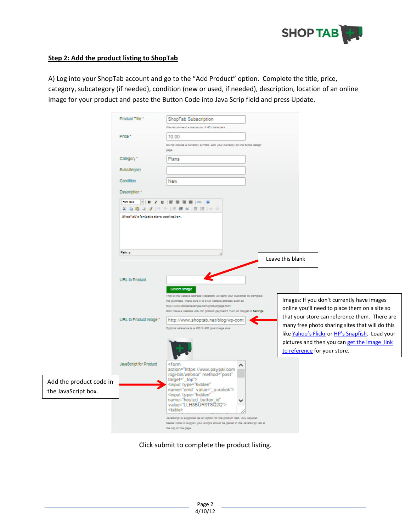

## **Step 2: Add the product listing to ShopTab**

A) Log into your ShopTab account and go to the "Add Product" option. Complete the title, price, category, subcategory (if needed), condition (new or used, if needed), description, location of an online image for your product and paste the Button Code into Java Scrip field and press Update.

|                         | Product Title *                        | ShopTab Subscription                                                                                          |                                                                              |
|-------------------------|----------------------------------------|---------------------------------------------------------------------------------------------------------------|------------------------------------------------------------------------------|
|                         |                                        | We recommend a maximum of 40 characters                                                                       |                                                                              |
|                         | Price *                                | 10.00                                                                                                         |                                                                              |
|                         |                                        | Do not include a currency symbol. Edit your currency on the Store Design<br>page                              |                                                                              |
|                         | Category +                             | Plans                                                                                                         |                                                                              |
|                         |                                        |                                                                                                               |                                                                              |
|                         | Subcategory                            |                                                                                                               |                                                                              |
|                         | Condition                              | New                                                                                                           |                                                                              |
|                         | Description *                          |                                                                                                               |                                                                              |
|                         | Ford Sec                               | $\cdot$   B $I$ U   E = 3           0                                                                         |                                                                              |
|                         |                                        | ※ 心 惑 Q ダ   ウ   ウ   沢 保 は   田 田   中 ※                                                                         |                                                                              |
|                         | ShopTab's fantastic store application. |                                                                                                               |                                                                              |
|                         |                                        |                                                                                                               |                                                                              |
|                         |                                        |                                                                                                               |                                                                              |
|                         |                                        |                                                                                                               |                                                                              |
|                         | Patte p                                |                                                                                                               | Leave this blank                                                             |
|                         |                                        |                                                                                                               |                                                                              |
|                         | URL to Product                         |                                                                                                               |                                                                              |
|                         |                                        |                                                                                                               |                                                                              |
|                         |                                        | <b>Select Image</b><br>This is the website address Facebook will send your customer to complete               |                                                                              |
|                         |                                        | the purchase. Make sure it is a full website address such as<br>http://www.domainecample.com/productpage.html | Images: If you don't currently have images                                   |
|                         |                                        | Don't have a wabsite URL for product payment? Turn on Paypal in Settings                                      | online you'll need to place them on a site so                                |
|                         | URL to Product Image +                 | http://www.shoptab.net/blog/wp-cont                                                                           | that your store can reference them. There are                                |
|                         |                                        | Optimal reference is a 400 X 400 plosi image size                                                             | many free photo sharing sites that will do this                              |
|                         |                                        |                                                                                                               | like Yahoo's Flickr or HP's Snapfish. Load your                              |
|                         |                                        |                                                                                                               | pictures and then you can get the image link<br>to reference for your store. |
|                         |                                        |                                                                                                               |                                                                              |
|                         | JavaScript for Product                 | ≺form<br>action="https://www.paypal.com                                                                       |                                                                              |
|                         |                                        | /cgi-bin/webscr" method="post"                                                                                |                                                                              |
| Add the product code in |                                        | target=" top"><br><input <="" th="" type="hidden"/> <th></th>                                                 |                                                                              |
| the JavaScript box.     |                                        | name="cmd" value="_s-xclick"><br><input <="" th="" type="hidden"/> <th></th>                                  |                                                                              |
|                         |                                        | name="hosted button id"<br>value="LLH8BUR6TSQ2Q">                                                             |                                                                              |
|                         |                                        | <table></table>                                                                                               |                                                                              |
|                         |                                        | JavaScript is supported as an option for the product field. Any required                                      |                                                                              |
|                         |                                        | header code to support your scripts should be placed in the JavaScript tab at<br>the top of the page.         |                                                                              |

Click submit to complete the product listing.